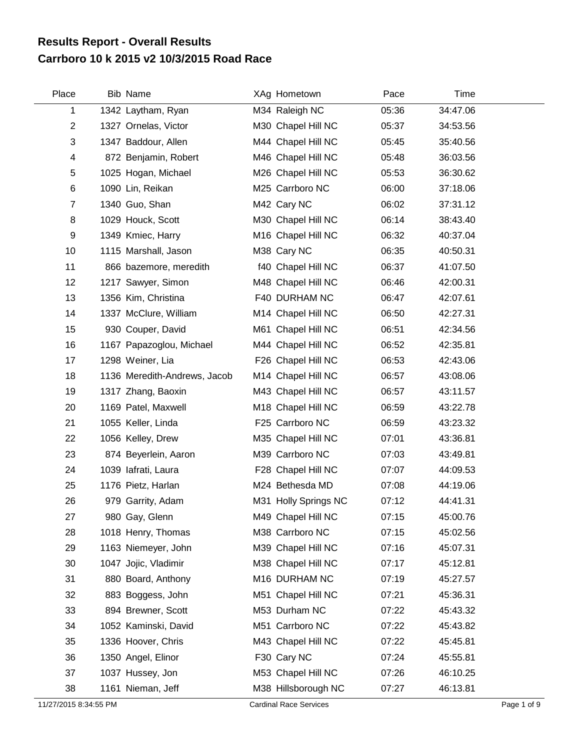## **Carrboro 10 k 2015 v2 10/3/2015 Road Race Results Report - Overall Results**

| Place          | <b>Bib Name</b>              | XAg Hometown         | Pace  | Time     |  |
|----------------|------------------------------|----------------------|-------|----------|--|
| 1              | 1342 Laytham, Ryan           | M34 Raleigh NC       | 05:36 | 34:47.06 |  |
| $\overline{2}$ | 1327 Ornelas, Victor         | M30 Chapel Hill NC   | 05:37 | 34:53.56 |  |
| 3              | 1347 Baddour, Allen          | M44 Chapel Hill NC   | 05:45 | 35:40.56 |  |
| 4              | 872 Benjamin, Robert         | M46 Chapel Hill NC   | 05:48 | 36:03.56 |  |
| 5              | 1025 Hogan, Michael          | M26 Chapel Hill NC   | 05:53 | 36:30.62 |  |
| 6              | 1090 Lin, Reikan             | M25 Carrboro NC      | 06:00 | 37:18.06 |  |
| $\overline{7}$ | 1340 Guo, Shan               | M42 Cary NC          | 06:02 | 37:31.12 |  |
| 8              | 1029 Houck, Scott            | M30 Chapel Hill NC   | 06:14 | 38:43.40 |  |
| 9              | 1349 Kmiec, Harry            | M16 Chapel Hill NC   | 06:32 | 40:37.04 |  |
| 10             | 1115 Marshall, Jason         | M38 Cary NC          | 06:35 | 40:50.31 |  |
| 11             | 866 bazemore, meredith       | f40 Chapel Hill NC   | 06:37 | 41:07.50 |  |
| 12             | 1217 Sawyer, Simon           | M48 Chapel Hill NC   | 06:46 | 42:00.31 |  |
| 13             | 1356 Kim, Christina          | F40 DURHAM NC        | 06:47 | 42:07.61 |  |
| 14             | 1337 McClure, William        | M14 Chapel Hill NC   | 06:50 | 42:27.31 |  |
| 15             | 930 Couper, David            | M61 Chapel Hill NC   | 06:51 | 42:34.56 |  |
| 16             | 1167 Papazoglou, Michael     | M44 Chapel Hill NC   | 06:52 | 42:35.81 |  |
| 17             | 1298 Weiner, Lia             | F26 Chapel Hill NC   | 06:53 | 42:43.06 |  |
| 18             | 1136 Meredith-Andrews, Jacob | M14 Chapel Hill NC   | 06:57 | 43:08.06 |  |
| 19             | 1317 Zhang, Baoxin           | M43 Chapel Hill NC   | 06:57 | 43:11.57 |  |
| 20             | 1169 Patel, Maxwell          | M18 Chapel Hill NC   | 06:59 | 43:22.78 |  |
| 21             | 1055 Keller, Linda           | F25 Carrboro NC      | 06:59 | 43:23.32 |  |
| 22             | 1056 Kelley, Drew            | M35 Chapel Hill NC   | 07:01 | 43:36.81 |  |
| 23             | 874 Beyerlein, Aaron         | M39 Carrboro NC      | 07:03 | 43:49.81 |  |
| 24             | 1039 lafrati, Laura          | F28 Chapel Hill NC   | 07:07 | 44:09.53 |  |
| 25             | 1176 Pietz, Harlan           | M24 Bethesda MD      | 07:08 | 44:19.06 |  |
| 26             | 979 Garrity, Adam            | M31 Holly Springs NC | 07:12 | 44:41.31 |  |
| 27             | 980 Gay, Glenn               | M49 Chapel Hill NC   | 07:15 | 45:00.76 |  |
| 28             | 1018 Henry, Thomas           | M38 Carrboro NC      | 07:15 | 45:02.56 |  |
| 29             | 1163 Niemeyer, John          | M39 Chapel Hill NC   | 07:16 | 45:07.31 |  |
| 30             | 1047 Jojic, Vladimir         | M38 Chapel Hill NC   | 07:17 | 45:12.81 |  |
| 31             | 880 Board, Anthony           | M16 DURHAM NC        | 07:19 | 45:27.57 |  |
| 32             | 883 Boggess, John            | M51 Chapel Hill NC   | 07:21 | 45:36.31 |  |
| 33             | 894 Brewner, Scott           | M53 Durham NC        | 07:22 | 45:43.32 |  |
| 34             | 1052 Kaminski, David         | M51 Carrboro NC      | 07:22 | 45:43.82 |  |
| 35             | 1336 Hoover, Chris           | M43 Chapel Hill NC   | 07:22 | 45:45.81 |  |
| 36             | 1350 Angel, Elinor           | F30 Cary NC          | 07:24 | 45:55.81 |  |
| 37             | 1037 Hussey, Jon             | M53 Chapel Hill NC   | 07:26 | 46:10.25 |  |
| 38             | 1161 Nieman, Jeff            | M38 Hillsborough NC  | 07:27 | 46:13.81 |  |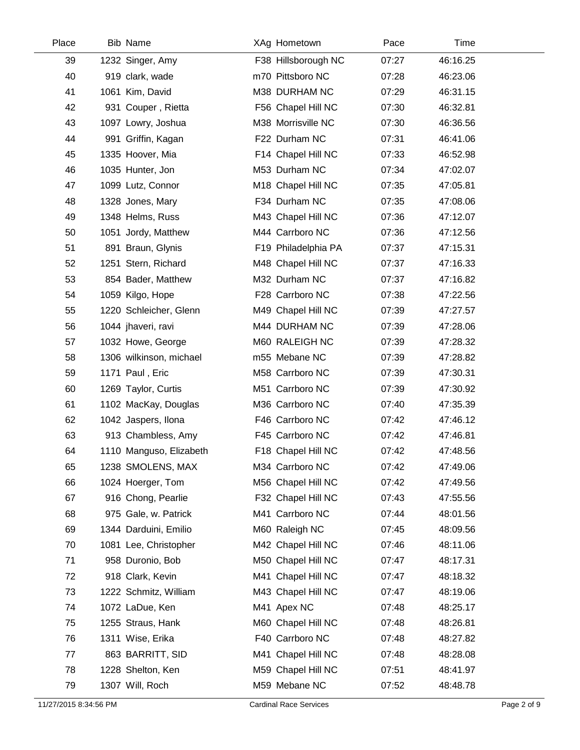| Place | <b>Bib Name</b>         | XAg Hometown        | Pace  | Time     |
|-------|-------------------------|---------------------|-------|----------|
| 39    | 1232 Singer, Amy        | F38 Hillsborough NC | 07:27 | 46:16.25 |
| 40    | 919 clark, wade         | m70 Pittsboro NC    | 07:28 | 46:23.06 |
| 41    | 1061 Kim, David         | M38 DURHAM NC       | 07:29 | 46:31.15 |
| 42    | 931 Couper, Rietta      | F56 Chapel Hill NC  | 07:30 | 46:32.81 |
| 43    | 1097 Lowry, Joshua      | M38 Morrisville NC  | 07:30 | 46:36.56 |
| 44    | 991 Griffin, Kagan      | F22 Durham NC       | 07:31 | 46:41.06 |
| 45    | 1335 Hoover, Mia        | F14 Chapel Hill NC  | 07:33 | 46:52.98 |
| 46    | 1035 Hunter, Jon        | M53 Durham NC       | 07:34 | 47:02.07 |
| 47    | 1099 Lutz, Connor       | M18 Chapel Hill NC  | 07:35 | 47:05.81 |
| 48    | 1328 Jones, Mary        | F34 Durham NC       | 07:35 | 47:08.06 |
| 49    | 1348 Helms, Russ        | M43 Chapel Hill NC  | 07:36 | 47:12.07 |
| 50    | 1051 Jordy, Matthew     | M44 Carrboro NC     | 07:36 | 47:12.56 |
| 51    | 891 Braun, Glynis       | F19 Philadelphia PA | 07:37 | 47:15.31 |
| 52    | 1251 Stern, Richard     | M48 Chapel Hill NC  | 07:37 | 47:16.33 |
| 53    | 854 Bader, Matthew      | M32 Durham NC       | 07:37 | 47:16.82 |
| 54    | 1059 Kilgo, Hope        | F28 Carrboro NC     | 07:38 | 47:22.56 |
| 55    | 1220 Schleicher, Glenn  | M49 Chapel Hill NC  | 07:39 | 47:27.57 |
| 56    | 1044 jhaveri, ravi      | M44 DURHAM NC       | 07:39 | 47:28.06 |
| 57    | 1032 Howe, George       | M60 RALEIGH NC      | 07:39 | 47:28.32 |
| 58    | 1306 wilkinson, michael | m55 Mebane NC       | 07:39 | 47:28.82 |
| 59    | 1171 Paul, Eric         | M58 Carrboro NC     | 07:39 | 47:30.31 |
| 60    | 1269 Taylor, Curtis     | M51 Carrboro NC     | 07:39 | 47:30.92 |
| 61    | 1102 MacKay, Douglas    | M36 Carrboro NC     | 07:40 | 47:35.39 |
| 62    | 1042 Jaspers, Ilona     | F46 Carrboro NC     | 07:42 | 47:46.12 |
| 63    | 913 Chambless, Amy      | F45 Carrboro NC     | 07:42 | 47:46.81 |
| 64    | 1110 Manguso, Elizabeth | F18 Chapel Hill NC  | 07:42 | 47:48.56 |
| 65    | 1238 SMOLENS, MAX       | M34 Carrboro NC     | 07:42 | 47:49.06 |
| 66    | 1024 Hoerger, Tom       | M56 Chapel Hill NC  | 07:42 | 47:49.56 |
| 67    | 916 Chong, Pearlie      | F32 Chapel Hill NC  | 07:43 | 47:55.56 |
| 68    | 975 Gale, w. Patrick    | M41 Carrboro NC     | 07:44 | 48:01.56 |
| 69    | 1344 Darduini, Emilio   | M60 Raleigh NC      | 07:45 | 48:09.56 |
| 70    | 1081 Lee, Christopher   | M42 Chapel Hill NC  | 07:46 | 48:11.06 |
| 71    | 958 Duronio, Bob        | M50 Chapel Hill NC  | 07:47 | 48:17.31 |
| 72    | 918 Clark, Kevin        | M41 Chapel Hill NC  | 07:47 | 48:18.32 |
| 73    | 1222 Schmitz, William   | M43 Chapel Hill NC  | 07:47 | 48:19.06 |
| 74    | 1072 LaDue, Ken         | M41 Apex NC         | 07:48 | 48:25.17 |
| 75    | 1255 Straus, Hank       | M60 Chapel Hill NC  | 07:48 | 48:26.81 |
| 76    | 1311 Wise, Erika        | F40 Carrboro NC     | 07:48 | 48:27.82 |
| 77    | 863 BARRITT, SID        | M41 Chapel Hill NC  | 07:48 | 48:28.08 |
| 78    | 1228 Shelton, Ken       | M59 Chapel Hill NC  | 07:51 | 48:41.97 |
| 79    | 1307 Will, Roch         | M59 Mebane NC       | 07:52 | 48:48.78 |
|       |                         |                     |       |          |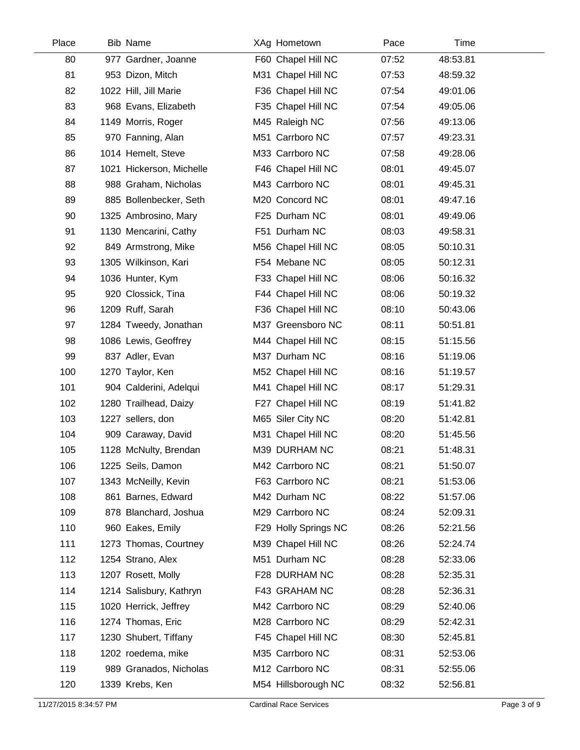| Place | <b>Bib Name</b>          | XAg Hometown         | Pace  | Time     |
|-------|--------------------------|----------------------|-------|----------|
| 80    | 977 Gardner, Joanne      | F60 Chapel Hill NC   | 07:52 | 48:53.81 |
| 81    | 953 Dizon, Mitch         | M31 Chapel Hill NC   | 07:53 | 48:59.32 |
| 82    | 1022 Hill, Jill Marie    | F36 Chapel Hill NC   | 07:54 | 49:01.06 |
| 83    | 968 Evans, Elizabeth     | F35 Chapel Hill NC   | 07:54 | 49:05.06 |
| 84    | 1149 Morris, Roger       | M45 Raleigh NC       | 07:56 | 49:13.06 |
| 85    | 970 Fanning, Alan        | M51 Carrboro NC      | 07:57 | 49:23.31 |
| 86    | 1014 Hemelt, Steve       | M33 Carrboro NC      | 07:58 | 49:28.06 |
| 87    | 1021 Hickerson, Michelle | F46 Chapel Hill NC   | 08:01 | 49:45.07 |
| 88    | 988 Graham, Nicholas     | M43 Carrboro NC      | 08:01 | 49:45.31 |
| 89    | 885 Bollenbecker, Seth   | M20 Concord NC       | 08:01 | 49:47.16 |
| 90    | 1325 Ambrosino, Mary     | F25 Durham NC        | 08:01 | 49:49.06 |
| 91    | 1130 Mencarini, Cathy    | F51 Durham NC        | 08:03 | 49:58.31 |
| 92    | 849 Armstrong, Mike      | M56 Chapel Hill NC   | 08:05 | 50:10.31 |
| 93    | 1305 Wilkinson, Kari     | F54 Mebane NC        | 08:05 | 50:12.31 |
| 94    | 1036 Hunter, Kym         | F33 Chapel Hill NC   | 08:06 | 50:16.32 |
| 95    | 920 Clossick, Tina       | F44 Chapel Hill NC   | 08:06 | 50:19.32 |
| 96    | 1209 Ruff, Sarah         | F36 Chapel Hill NC   | 08:10 | 50:43.06 |
| 97    | 1284 Tweedy, Jonathan    | M37 Greensboro NC    | 08:11 | 50:51.81 |
| 98    | 1086 Lewis, Geoffrey     | M44 Chapel Hill NC   | 08:15 | 51:15.56 |
| 99    | 837 Adler, Evan          | M37 Durham NC        | 08:16 | 51:19.06 |
| 100   | 1270 Taylor, Ken         | M52 Chapel Hill NC   | 08:16 | 51:19.57 |
| 101   | 904 Calderini, Adelqui   | M41 Chapel Hill NC   | 08:17 | 51:29.31 |
| 102   | 1280 Trailhead, Daizy    | F27 Chapel Hill NC   | 08:19 | 51:41.82 |
| 103   | 1227 sellers, don        | M65 Siler City NC    | 08:20 | 51:42.81 |
| 104   | 909 Caraway, David       | M31 Chapel Hill NC   | 08:20 | 51:45.56 |
| 105   | 1128 McNulty, Brendan    | M39 DURHAM NC        | 08:21 | 51:48.31 |
| 106   | 1225 Seils, Damon        | M42 Carrboro NC      | 08:21 | 51:50.07 |
| 107   | 1343 McNeilly, Kevin     | F63 Carrboro NC      | 08:21 | 51:53.06 |
| 108   | 861 Barnes, Edward       | M42 Durham NC        | 08:22 | 51:57.06 |
| 109   | 878 Blanchard, Joshua    | M29 Carrboro NC      | 08:24 | 52:09.31 |
| 110   | 960 Eakes, Emily         | F29 Holly Springs NC | 08:26 | 52:21.56 |
| 111   | 1273 Thomas, Courtney    | M39 Chapel Hill NC   | 08:26 | 52:24.74 |
| 112   | 1254 Strano, Alex        | M51 Durham NC        | 08:28 | 52:33.06 |
| 113   | 1207 Rosett, Molly       | F28 DURHAM NC        | 08:28 | 52:35.31 |
| 114   | 1214 Salisbury, Kathryn  | F43 GRAHAM NC        | 08:28 | 52:36.31 |
| 115   | 1020 Herrick, Jeffrey    | M42 Carrboro NC      | 08:29 | 52:40.06 |
| 116   | 1274 Thomas, Eric        | M28 Carrboro NC      | 08:29 | 52:42.31 |
| 117   | 1230 Shubert, Tiffany    | F45 Chapel Hill NC   | 08:30 | 52:45.81 |
| 118   | 1202 roedema, mike       | M35 Carrboro NC      | 08:31 | 52:53.06 |
| 119   | 989 Granados, Nicholas   | M12 Carrboro NC      | 08:31 | 52:55.06 |
| 120   | 1339 Krebs, Ken          | M54 Hillsborough NC  | 08:32 | 52:56.81 |
|       |                          |                      |       |          |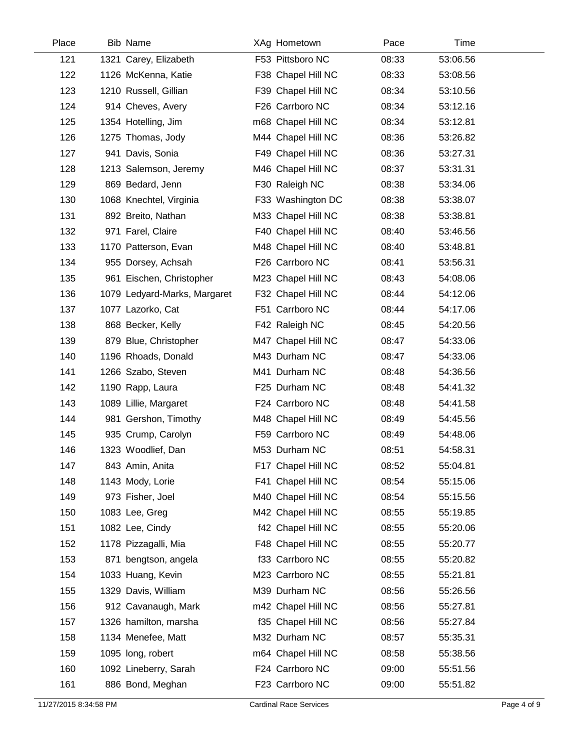| Place | <b>Bib Name</b>              | XAg Hometown       | Pace  | Time     |
|-------|------------------------------|--------------------|-------|----------|
| 121   | 1321 Carey, Elizabeth        | F53 Pittsboro NC   | 08:33 | 53:06.56 |
| 122   | 1126 McKenna, Katie          | F38 Chapel Hill NC | 08:33 | 53:08.56 |
| 123   | 1210 Russell, Gillian        | F39 Chapel Hill NC | 08:34 | 53:10.56 |
| 124   | 914 Cheves, Avery            | F26 Carrboro NC    | 08:34 | 53:12.16 |
| 125   | 1354 Hotelling, Jim          | m68 Chapel Hill NC | 08:34 | 53:12.81 |
| 126   | 1275 Thomas, Jody            | M44 Chapel Hill NC | 08:36 | 53:26.82 |
| 127   | 941 Davis, Sonia             | F49 Chapel Hill NC | 08:36 | 53:27.31 |
| 128   | 1213 Salemson, Jeremy        | M46 Chapel Hill NC | 08:37 | 53:31.31 |
| 129   | 869 Bedard, Jenn             | F30 Raleigh NC     | 08:38 | 53:34.06 |
| 130   | 1068 Knechtel, Virginia      | F33 Washington DC  | 08:38 | 53:38.07 |
| 131   | 892 Breito, Nathan           | M33 Chapel Hill NC | 08:38 | 53:38.81 |
| 132   | 971 Farel, Claire            | F40 Chapel Hill NC | 08:40 | 53:46.56 |
| 133   | 1170 Patterson, Evan         | M48 Chapel Hill NC | 08:40 | 53:48.81 |
| 134   | 955 Dorsey, Achsah           | F26 Carrboro NC    | 08:41 | 53:56.31 |
| 135   | 961 Eischen, Christopher     | M23 Chapel Hill NC | 08:43 | 54:08.06 |
| 136   | 1079 Ledyard-Marks, Margaret | F32 Chapel Hill NC | 08:44 | 54:12.06 |
| 137   | 1077 Lazorko, Cat            | F51 Carrboro NC    | 08:44 | 54:17.06 |
| 138   | 868 Becker, Kelly            | F42 Raleigh NC     | 08:45 | 54:20.56 |
| 139   | 879 Blue, Christopher        | M47 Chapel Hill NC | 08:47 | 54:33.06 |
| 140   | 1196 Rhoads, Donald          | M43 Durham NC      | 08:47 | 54:33.06 |
| 141   | 1266 Szabo, Steven           | M41 Durham NC      | 08:48 | 54:36.56 |
| 142   | 1190 Rapp, Laura             | F25 Durham NC      | 08:48 | 54:41.32 |
| 143   | 1089 Lillie, Margaret        | F24 Carrboro NC    | 08:48 | 54:41.58 |
| 144   | 981 Gershon, Timothy         | M48 Chapel Hill NC | 08:49 | 54:45.56 |
| 145   | 935 Crump, Carolyn           | F59 Carrboro NC    | 08:49 | 54:48.06 |
| 146   | 1323 Woodlief, Dan           | M53 Durham NC      | 08:51 | 54:58.31 |
| 147   | 843 Amin, Anita              | F17 Chapel Hill NC | 08:52 | 55:04.81 |
| 148   | 1143 Mody, Lorie             | F41 Chapel Hill NC | 08:54 | 55:15.06 |
| 149   | 973 Fisher, Joel             | M40 Chapel Hill NC | 08:54 | 55:15.56 |
| 150   | 1083 Lee, Greg               | M42 Chapel Hill NC | 08:55 | 55:19.85 |
| 151   | 1082 Lee, Cindy              | f42 Chapel Hill NC | 08:55 | 55:20.06 |
| 152   | 1178 Pizzagalli, Mia         | F48 Chapel Hill NC | 08:55 | 55:20.77 |
| 153   | 871 bengtson, angela         | f33 Carrboro NC    | 08:55 | 55:20.82 |
| 154   | 1033 Huang, Kevin            | M23 Carrboro NC    | 08:55 | 55:21.81 |
| 155   | 1329 Davis, William          | M39 Durham NC      | 08:56 | 55:26.56 |
| 156   | 912 Cavanaugh, Mark          | m42 Chapel Hill NC | 08:56 | 55:27.81 |
| 157   | 1326 hamilton, marsha        | f35 Chapel Hill NC | 08:56 | 55:27.84 |
| 158   | 1134 Menefee, Matt           | M32 Durham NC      | 08:57 | 55:35.31 |
| 159   | 1095 long, robert            | m64 Chapel Hill NC | 08:58 | 55:38.56 |
| 160   | 1092 Lineberry, Sarah        | F24 Carrboro NC    | 09:00 | 55:51.56 |
| 161   | 886 Bond, Meghan             | F23 Carrboro NC    | 09:00 | 55:51.82 |
|       |                              |                    |       |          |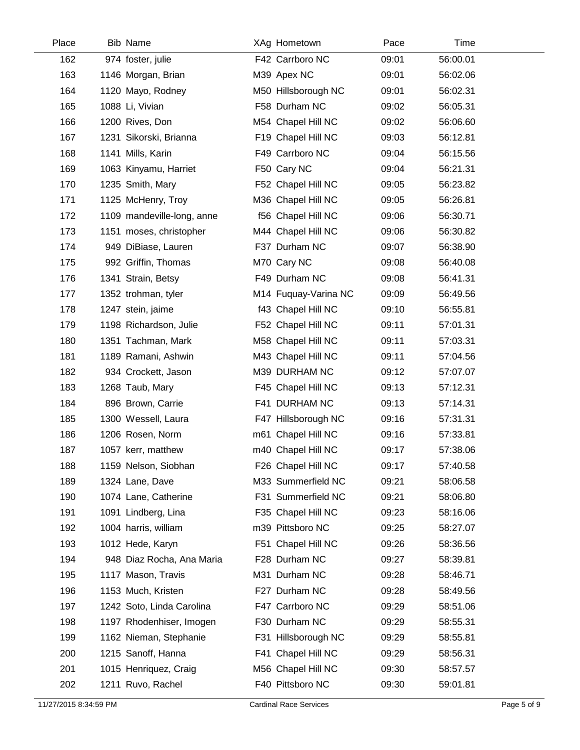| Place | <b>Bib Name</b>            | XAg Hometown         | Pace  | Time     |
|-------|----------------------------|----------------------|-------|----------|
| 162   | 974 foster, julie          | F42 Carrboro NC      | 09:01 | 56:00.01 |
| 163   | 1146 Morgan, Brian         | M39 Apex NC          | 09:01 | 56:02.06 |
| 164   | 1120 Mayo, Rodney          | M50 Hillsborough NC  | 09:01 | 56:02.31 |
| 165   | 1088 Li, Vivian            | F58 Durham NC        | 09:02 | 56:05.31 |
| 166   | 1200 Rives, Don            | M54 Chapel Hill NC   | 09:02 | 56:06.60 |
| 167   | 1231 Sikorski, Brianna     | F19 Chapel Hill NC   | 09:03 | 56:12.81 |
| 168   | 1141 Mills, Karin          | F49 Carrboro NC      | 09:04 | 56:15.56 |
| 169   | 1063 Kinyamu, Harriet      | F50 Cary NC          | 09:04 | 56:21.31 |
| 170   | 1235 Smith, Mary           | F52 Chapel Hill NC   | 09:05 | 56:23.82 |
| 171   | 1125 McHenry, Troy         | M36 Chapel Hill NC   | 09:05 | 56:26.81 |
| 172   | 1109 mandeville-long, anne | f56 Chapel Hill NC   | 09:06 | 56:30.71 |
| 173   | 1151 moses, christopher    | M44 Chapel Hill NC   | 09:06 | 56:30.82 |
| 174   | 949 DiBiase, Lauren        | F37 Durham NC        | 09:07 | 56:38.90 |
| 175   | 992 Griffin, Thomas        | M70 Cary NC          | 09:08 | 56:40.08 |
| 176   | 1341 Strain, Betsy         | F49 Durham NC        | 09:08 | 56:41.31 |
| 177   | 1352 trohman, tyler        | M14 Fuquay-Varina NC | 09:09 | 56:49.56 |
| 178   | 1247 stein, jaime          | f43 Chapel Hill NC   | 09:10 | 56:55.81 |
| 179   | 1198 Richardson, Julie     | F52 Chapel Hill NC   | 09:11 | 57:01.31 |
| 180   | 1351 Tachman, Mark         | M58 Chapel Hill NC   | 09:11 | 57:03.31 |
| 181   | 1189 Ramani, Ashwin        | M43 Chapel Hill NC   | 09:11 | 57:04.56 |
| 182   | 934 Crockett, Jason        | M39 DURHAM NC        | 09:12 | 57:07.07 |
| 183   | 1268 Taub, Mary            | F45 Chapel Hill NC   | 09:13 | 57:12.31 |
| 184   | 896 Brown, Carrie          | F41 DURHAM NC        | 09:13 | 57:14.31 |
| 185   | 1300 Wessell, Laura        | F47 Hillsborough NC  | 09:16 | 57:31.31 |
| 186   | 1206 Rosen, Norm           | m61 Chapel Hill NC   | 09:16 | 57:33.81 |
| 187   | 1057 kerr, matthew         | m40 Chapel Hill NC   | 09:17 | 57:38.06 |
| 188   | 1159 Nelson, Siobhan       | F26 Chapel Hill NC   | 09:17 | 57:40.58 |
| 189   | 1324 Lane, Dave            | M33 Summerfield NC   | 09:21 | 58:06.58 |
| 190   | 1074 Lane, Catherine       | F31 Summerfield NC   | 09:21 | 58:06.80 |
| 191   | 1091 Lindberg, Lina        | F35 Chapel Hill NC   | 09:23 | 58:16.06 |
| 192   | 1004 harris, william       | m39 Pittsboro NC     | 09:25 | 58:27.07 |
| 193   | 1012 Hede, Karyn           | F51 Chapel Hill NC   | 09:26 | 58:36.56 |
| 194   | 948 Diaz Rocha, Ana Maria  | F28 Durham NC        | 09:27 | 58:39.81 |
| 195   | 1117 Mason, Travis         | M31 Durham NC        | 09:28 | 58:46.71 |
| 196   | 1153 Much, Kristen         | F27 Durham NC        | 09:28 | 58:49.56 |
| 197   | 1242 Soto, Linda Carolina  | F47 Carrboro NC      | 09:29 | 58:51.06 |
| 198   | 1197 Rhodenhiser, Imogen   | F30 Durham NC        | 09:29 | 58:55.31 |
| 199   | 1162 Nieman, Stephanie     | F31 Hillsborough NC  | 09:29 | 58:55.81 |
| 200   | 1215 Sanoff, Hanna         | F41 Chapel Hill NC   | 09:29 | 58:56.31 |
| 201   | 1015 Henriquez, Craig      | M56 Chapel Hill NC   | 09:30 | 58:57.57 |
| 202   | 1211 Ruvo, Rachel          | F40 Pittsboro NC     | 09:30 | 59:01.81 |
|       |                            |                      |       |          |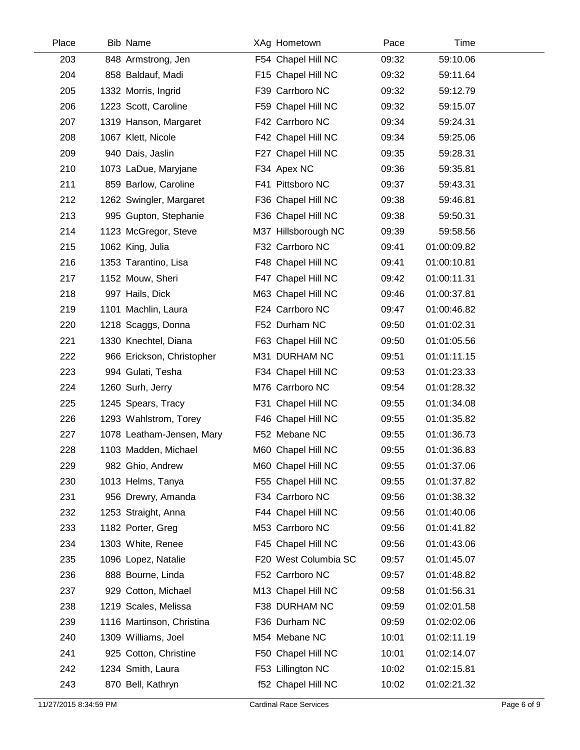| Place | <b>Bib Name</b>           | XAg Hometown         | Pace  | Time        |  |
|-------|---------------------------|----------------------|-------|-------------|--|
| 203   | 848 Armstrong, Jen        | F54 Chapel Hill NC   | 09:32 | 59:10.06    |  |
| 204   | 858 Baldauf, Madi         | F15 Chapel Hill NC   | 09:32 | 59:11.64    |  |
| 205   | 1332 Morris, Ingrid       | F39 Carrboro NC      | 09:32 | 59:12.79    |  |
| 206   | 1223 Scott, Caroline      | F59 Chapel Hill NC   | 09:32 | 59:15.07    |  |
| 207   | 1319 Hanson, Margaret     | F42 Carrboro NC      | 09:34 | 59:24.31    |  |
| 208   | 1067 Klett, Nicole        | F42 Chapel Hill NC   | 09:34 | 59:25.06    |  |
| 209   | 940 Dais, Jaslin          | F27 Chapel Hill NC   | 09:35 | 59:28.31    |  |
| 210   | 1073 LaDue, Maryjane      | F34 Apex NC          | 09:36 | 59:35.81    |  |
| 211   | 859 Barlow, Caroline      | F41 Pittsboro NC     | 09:37 | 59:43.31    |  |
| 212   | 1262 Swingler, Margaret   | F36 Chapel Hill NC   | 09:38 | 59:46.81    |  |
| 213   | 995 Gupton, Stephanie     | F36 Chapel Hill NC   | 09:38 | 59:50.31    |  |
| 214   | 1123 McGregor, Steve      | M37 Hillsborough NC  | 09:39 | 59:58.56    |  |
| 215   | 1062 King, Julia          | F32 Carrboro NC      | 09:41 | 01:00:09.82 |  |
| 216   | 1353 Tarantino, Lisa      | F48 Chapel Hill NC   | 09:41 | 01:00:10.81 |  |
| 217   | 1152 Mouw, Sheri          | F47 Chapel Hill NC   | 09:42 | 01:00:11.31 |  |
| 218   | 997 Hails, Dick           | M63 Chapel Hill NC   | 09:46 | 01:00:37.81 |  |
| 219   | 1101 Machlin, Laura       | F24 Carrboro NC      | 09:47 | 01:00:46.82 |  |
| 220   | 1218 Scaggs, Donna        | F52 Durham NC        | 09:50 | 01:01:02.31 |  |
| 221   | 1330 Knechtel, Diana      | F63 Chapel Hill NC   | 09:50 | 01:01:05.56 |  |
| 222   | 966 Erickson, Christopher | M31 DURHAM NC        | 09:51 | 01:01:11.15 |  |
| 223   | 994 Gulati, Tesha         | F34 Chapel Hill NC   | 09:53 | 01:01:23.33 |  |
| 224   | 1260 Surh, Jerry          | M76 Carrboro NC      | 09:54 | 01:01:28.32 |  |
| 225   | 1245 Spears, Tracy        | F31 Chapel Hill NC   | 09:55 | 01:01:34.08 |  |
| 226   | 1293 Wahlstrom, Torey     | F46 Chapel Hill NC   | 09:55 | 01:01:35.82 |  |
| 227   | 1078 Leatham-Jensen, Mary | F52 Mebane NC        | 09:55 | 01:01:36.73 |  |
| 228   | 1103 Madden, Michael      | M60 Chapel Hill NC   | 09:55 | 01:01:36.83 |  |
| 229   | 982 Ghio, Andrew          | M60 Chapel Hill NC   | 09:55 | 01:01:37.06 |  |
| 230   | 1013 Helms, Tanya         | F55 Chapel Hill NC   | 09:55 | 01:01:37.82 |  |
| 231   | 956 Drewry, Amanda        | F34 Carrboro NC      | 09:56 | 01:01:38.32 |  |
| 232   | 1253 Straight, Anna       | F44 Chapel Hill NC   | 09:56 | 01:01:40.06 |  |
| 233   | 1182 Porter, Greg         | M53 Carrboro NC      | 09:56 | 01:01:41.82 |  |
| 234   | 1303 White, Renee         | F45 Chapel Hill NC   | 09:56 | 01:01:43.06 |  |
| 235   | 1096 Lopez, Natalie       | F20 West Columbia SC | 09:57 | 01:01:45.07 |  |
| 236   | 888 Bourne, Linda         | F52 Carrboro NC      | 09:57 | 01:01:48.82 |  |
| 237   | 929 Cotton, Michael       | M13 Chapel Hill NC   | 09:58 | 01:01:56.31 |  |
| 238   | 1219 Scales, Melissa      | F38 DURHAM NC        | 09:59 | 01:02:01.58 |  |
| 239   | 1116 Martinson, Christina | F36 Durham NC        | 09:59 | 01:02:02.06 |  |
| 240   | 1309 Williams, Joel       | M54 Mebane NC        | 10:01 | 01:02:11.19 |  |
| 241   | 925 Cotton, Christine     | F50 Chapel Hill NC   | 10:01 | 01:02:14.07 |  |
| 242   | 1234 Smith, Laura         | F53 Lillington NC    | 10:02 | 01:02:15.81 |  |
| 243   | 870 Bell, Kathryn         | f52 Chapel Hill NC   | 10:02 | 01:02:21.32 |  |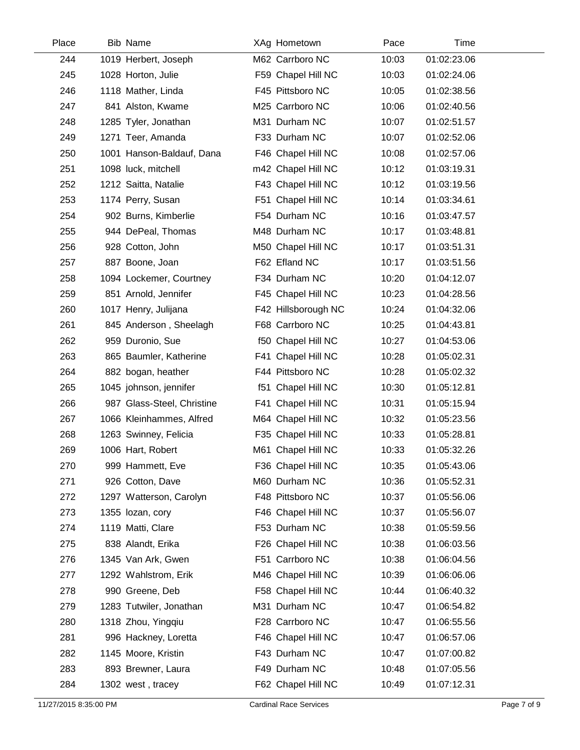| Place | <b>Bib Name</b>            | XAg Hometown        | Pace  | Time        |  |
|-------|----------------------------|---------------------|-------|-------------|--|
| 244   | 1019 Herbert, Joseph       | M62 Carrboro NC     | 10:03 | 01:02:23.06 |  |
| 245   | 1028 Horton, Julie         | F59 Chapel Hill NC  | 10:03 | 01:02:24.06 |  |
| 246   | 1118 Mather, Linda         | F45 Pittsboro NC    | 10:05 | 01:02:38.56 |  |
| 247   | 841 Alston, Kwame          | M25 Carrboro NC     | 10:06 | 01:02:40.56 |  |
| 248   | 1285 Tyler, Jonathan       | M31 Durham NC       | 10:07 | 01:02:51.57 |  |
| 249   | 1271 Teer, Amanda          | F33 Durham NC       | 10:07 | 01:02:52.06 |  |
| 250   | 1001 Hanson-Baldauf, Dana  | F46 Chapel Hill NC  | 10:08 | 01:02:57.06 |  |
| 251   | 1098 luck, mitchell        | m42 Chapel Hill NC  | 10:12 | 01:03:19.31 |  |
| 252   | 1212 Saitta, Natalie       | F43 Chapel Hill NC  | 10:12 | 01:03:19.56 |  |
| 253   | 1174 Perry, Susan          | F51 Chapel Hill NC  | 10:14 | 01:03:34.61 |  |
| 254   | 902 Burns, Kimberlie       | F54 Durham NC       | 10:16 | 01:03:47.57 |  |
| 255   | 944 DePeal, Thomas         | M48 Durham NC       | 10:17 | 01:03:48.81 |  |
| 256   | 928 Cotton, John           | M50 Chapel Hill NC  | 10:17 | 01:03:51.31 |  |
| 257   | 887 Boone, Joan            | F62 Efland NC       | 10:17 | 01:03:51.56 |  |
| 258   | 1094 Lockemer, Courtney    | F34 Durham NC       | 10:20 | 01:04:12.07 |  |
| 259   | 851 Arnold, Jennifer       | F45 Chapel Hill NC  | 10:23 | 01:04:28.56 |  |
| 260   | 1017 Henry, Julijana       | F42 Hillsborough NC | 10:24 | 01:04:32.06 |  |
| 261   | 845 Anderson, Sheelagh     | F68 Carrboro NC     | 10:25 | 01:04:43.81 |  |
| 262   | 959 Duronio, Sue           | f50 Chapel Hill NC  | 10:27 | 01:04:53.06 |  |
| 263   | 865 Baumler, Katherine     | F41 Chapel Hill NC  | 10:28 | 01:05:02.31 |  |
| 264   | 882 bogan, heather         | F44 Pittsboro NC    | 10:28 | 01:05:02.32 |  |
| 265   | 1045 johnson, jennifer     | f51 Chapel Hill NC  | 10:30 | 01:05:12.81 |  |
| 266   | 987 Glass-Steel, Christine | F41 Chapel Hill NC  | 10:31 | 01:05:15.94 |  |
| 267   | 1066 Kleinhammes, Alfred   | M64 Chapel Hill NC  | 10:32 | 01:05:23.56 |  |
| 268   | 1263 Swinney, Felicia      | F35 Chapel Hill NC  | 10:33 | 01:05:28.81 |  |
| 269   | 1006 Hart, Robert          | M61 Chapel Hill NC  | 10:33 | 01:05:32.26 |  |
| 270   | 999 Hammett, Eve           | F36 Chapel Hill NC  | 10:35 | 01:05:43.06 |  |
| 271   | 926 Cotton, Dave           | M60 Durham NC       | 10:36 | 01:05:52.31 |  |
| 272   | 1297 Watterson, Carolyn    | F48 Pittsboro NC    | 10:37 | 01:05:56.06 |  |
| 273   | 1355 lozan, cory           | F46 Chapel Hill NC  | 10:37 | 01:05:56.07 |  |
| 274   | 1119 Matti, Clare          | F53 Durham NC       | 10:38 | 01:05:59.56 |  |
| 275   | 838 Alandt, Erika          | F26 Chapel Hill NC  | 10:38 | 01:06:03.56 |  |
| 276   | 1345 Van Ark, Gwen         | F51 Carrboro NC     | 10:38 | 01:06:04.56 |  |
| 277   | 1292 Wahlstrom, Erik       | M46 Chapel Hill NC  | 10:39 | 01:06:06.06 |  |
| 278   | 990 Greene, Deb            | F58 Chapel Hill NC  | 10:44 | 01:06:40.32 |  |
| 279   | 1283 Tutwiler, Jonathan    | M31 Durham NC       | 10:47 | 01:06:54.82 |  |
| 280   | 1318 Zhou, Yingqiu         | F28 Carrboro NC     | 10:47 | 01:06:55.56 |  |
| 281   | 996 Hackney, Loretta       | F46 Chapel Hill NC  | 10:47 | 01:06:57.06 |  |
| 282   | 1145 Moore, Kristin        | F43 Durham NC       | 10:47 | 01:07:00.82 |  |
| 283   | 893 Brewner, Laura         | F49 Durham NC       | 10:48 | 01:07:05.56 |  |
| 284   | 1302 west, tracey          | F62 Chapel Hill NC  | 10:49 | 01:07:12.31 |  |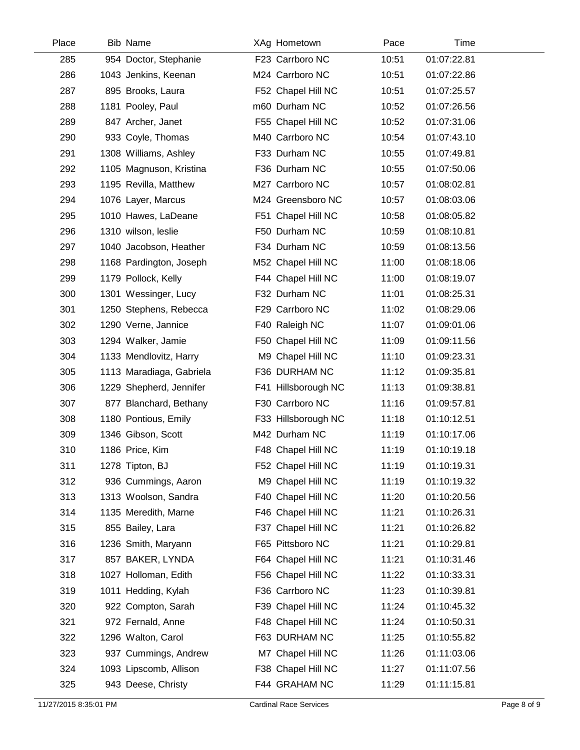| Place | <b>Bib Name</b>          | XAg Hometown        | Pace  | Time        |  |
|-------|--------------------------|---------------------|-------|-------------|--|
| 285   | 954 Doctor, Stephanie    | F23 Carrboro NC     | 10:51 | 01:07:22.81 |  |
| 286   | 1043 Jenkins, Keenan     | M24 Carrboro NC     | 10:51 | 01:07:22.86 |  |
| 287   | 895 Brooks, Laura        | F52 Chapel Hill NC  | 10:51 | 01:07:25.57 |  |
| 288   | 1181 Pooley, Paul        | m60 Durham NC       | 10:52 | 01:07:26.56 |  |
| 289   | 847 Archer, Janet        | F55 Chapel Hill NC  | 10:52 | 01:07:31.06 |  |
| 290   | 933 Coyle, Thomas        | M40 Carrboro NC     | 10:54 | 01:07:43.10 |  |
| 291   | 1308 Williams, Ashley    | F33 Durham NC       | 10:55 | 01:07:49.81 |  |
| 292   | 1105 Magnuson, Kristina  | F36 Durham NC       | 10:55 | 01:07:50.06 |  |
| 293   | 1195 Revilla, Matthew    | M27 Carrboro NC     | 10:57 | 01:08:02.81 |  |
| 294   | 1076 Layer, Marcus       | M24 Greensboro NC   | 10:57 | 01:08:03.06 |  |
| 295   | 1010 Hawes, LaDeane      | F51 Chapel Hill NC  | 10:58 | 01:08:05.82 |  |
| 296   | 1310 wilson, leslie      | F50 Durham NC       | 10:59 | 01:08:10.81 |  |
| 297   | 1040 Jacobson, Heather   | F34 Durham NC       | 10:59 | 01:08:13.56 |  |
| 298   | 1168 Pardington, Joseph  | M52 Chapel Hill NC  | 11:00 | 01:08:18.06 |  |
| 299   | 1179 Pollock, Kelly      | F44 Chapel Hill NC  | 11:00 | 01:08:19.07 |  |
| 300   | 1301 Wessinger, Lucy     | F32 Durham NC       | 11:01 | 01:08:25.31 |  |
| 301   | 1250 Stephens, Rebecca   | F29 Carrboro NC     | 11:02 | 01:08:29.06 |  |
| 302   | 1290 Verne, Jannice      | F40 Raleigh NC      | 11:07 | 01:09:01.06 |  |
| 303   | 1294 Walker, Jamie       | F50 Chapel Hill NC  | 11:09 | 01:09:11.56 |  |
| 304   | 1133 Mendlovitz, Harry   | M9 Chapel Hill NC   | 11:10 | 01:09:23.31 |  |
| 305   | 1113 Maradiaga, Gabriela | F36 DURHAM NC       | 11:12 | 01:09:35.81 |  |
| 306   | 1229 Shepherd, Jennifer  | F41 Hillsborough NC | 11:13 | 01:09:38.81 |  |
| 307   | 877 Blanchard, Bethany   | F30 Carrboro NC     | 11:16 | 01:09:57.81 |  |
| 308   | 1180 Pontious, Emily     | F33 Hillsborough NC | 11:18 | 01:10:12.51 |  |
| 309   | 1346 Gibson, Scott       | M42 Durham NC       | 11:19 | 01:10:17.06 |  |
| 310   | 1186 Price, Kim          | F48 Chapel Hill NC  | 11:19 | 01:10:19.18 |  |
| 311   | 1278 Tipton, BJ          | F52 Chapel Hill NC  | 11:19 | 01:10:19.31 |  |
| 312   | 936 Cummings, Aaron      | M9 Chapel Hill NC   | 11:19 | 01:10:19.32 |  |
| 313   | 1313 Woolson, Sandra     | F40 Chapel Hill NC  | 11:20 | 01:10:20.56 |  |
| 314   | 1135 Meredith, Marne     | F46 Chapel Hill NC  | 11:21 | 01:10:26.31 |  |
| 315   | 855 Bailey, Lara         | F37 Chapel Hill NC  | 11:21 | 01:10:26.82 |  |
| 316   | 1236 Smith, Maryann      | F65 Pittsboro NC    | 11:21 | 01:10:29.81 |  |
| 317   | 857 BAKER, LYNDA         | F64 Chapel Hill NC  | 11:21 | 01:10:31.46 |  |
| 318   | 1027 Holloman, Edith     | F56 Chapel Hill NC  | 11:22 | 01:10:33.31 |  |
| 319   | 1011 Hedding, Kylah      | F36 Carrboro NC     | 11:23 | 01:10:39.81 |  |
| 320   | 922 Compton, Sarah       | F39 Chapel Hill NC  | 11:24 | 01:10:45.32 |  |
| 321   | 972 Fernald, Anne        | F48 Chapel Hill NC  | 11:24 | 01:10:50.31 |  |
| 322   | 1296 Walton, Carol       | F63 DURHAM NC       | 11:25 | 01:10:55.82 |  |
| 323   | 937 Cummings, Andrew     | M7 Chapel Hill NC   | 11:26 | 01:11:03.06 |  |
| 324   | 1093 Lipscomb, Allison   | F38 Chapel Hill NC  | 11:27 | 01:11:07.56 |  |
| 325   | 943 Deese, Christy       | F44 GRAHAM NC       | 11:29 | 01:11:15.81 |  |
|       |                          |                     |       |             |  |